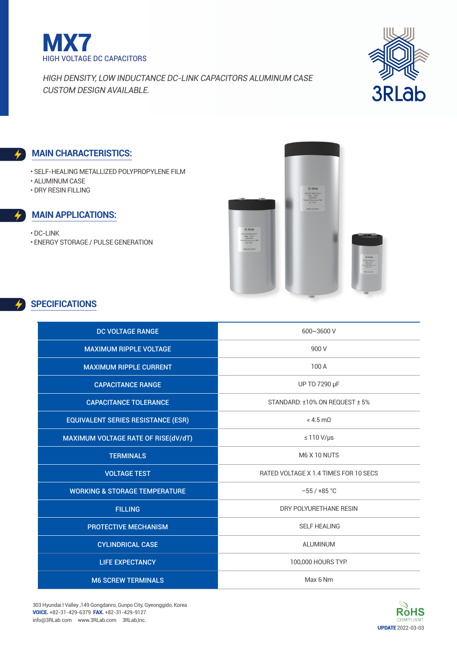



### **Main characteristics:**

- Self-Healing Metallized Polypropylene Film
- Aluminum Case
- DRY Resin filling

### **Main applications:**

• DC-Link • Energy Storage / Pulse Generation



## **SPECIFICATIONS**

| <b>DC VOLTAGE RANGE</b>                   | 600~3600 V                            |
|-------------------------------------------|---------------------------------------|
| <b>MAXIMUM RIPPLE VOLTAGE</b>             | 900 V                                 |
| <b>MAXIMUM RIPPLE CURRENT</b>             | 100 A                                 |
| <b>CAPACITANCE RANGE</b>                  | UP TO 7290 µF                         |
| <b>CAPACITANCE TOLERANCE</b>              | STANDARD: ±10% ON REQUEST ± 5%        |
| <b>EQUIVALENT SERIES RESISTANCE (ESR)</b> | $<$ 4.5 m $\Omega$                    |
| MAXIMUM VOLTAGE RATE OF RISE(dV/dT)       | $\leq 110 \text{ V/}\mu\text{s}$      |
| <b>TERMINALS</b>                          | M6 X 10 NUTS                          |
| <b>VOLTAGE TEST</b>                       | RATED VOLTAGE X 1.4 TIMES FOR 10 SECS |
| <b>WORKING &amp; STORAGE TEMPERATURE</b>  | $-55/+85$ °C                          |
| <b>FILLING</b>                            | DRY POLYURETHANE RESIN                |
| <b>PROTECTIVE MECHANISM</b>               | <b>SELF HEALING</b>                   |
| <b>CYLINDRICAL CASE</b>                   | <b>ALUMINUM</b>                       |
| <b>LIFE EXPECTANCY</b>                    | 100,000 HOURS TYP.                    |
| <b>M6 SCREW TERMINALS</b>                 | Max 6 Nm                              |

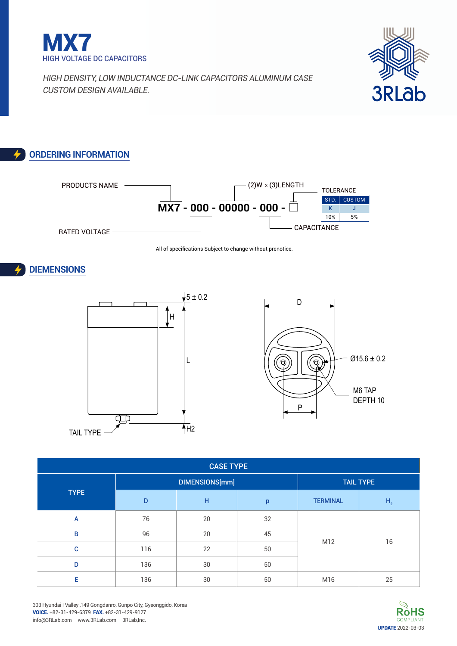



# **Ordering Information**



All of specifications Subject to change without prenotice.







| <b>CASE TYPE</b> |     |                |    |                  |                |  |  |  |  |  |  |
|------------------|-----|----------------|----|------------------|----------------|--|--|--|--|--|--|
|                  |     | DIMENSIONS[mm] |    | <b>TAIL TYPE</b> |                |  |  |  |  |  |  |
| <b>TYPE</b>      | D   | H              | p  | <b>TERMINAL</b>  | H <sub>2</sub> |  |  |  |  |  |  |
| A                | 76  | 20             | 32 |                  |                |  |  |  |  |  |  |
| B                | 96  | 20             | 45 |                  |                |  |  |  |  |  |  |
| C                | 116 | 22             | 50 | M12              | 16             |  |  |  |  |  |  |
| D                | 136 | 30             | 50 |                  |                |  |  |  |  |  |  |
| Е                | 136 | 30             | 50 | M16              | 25             |  |  |  |  |  |  |

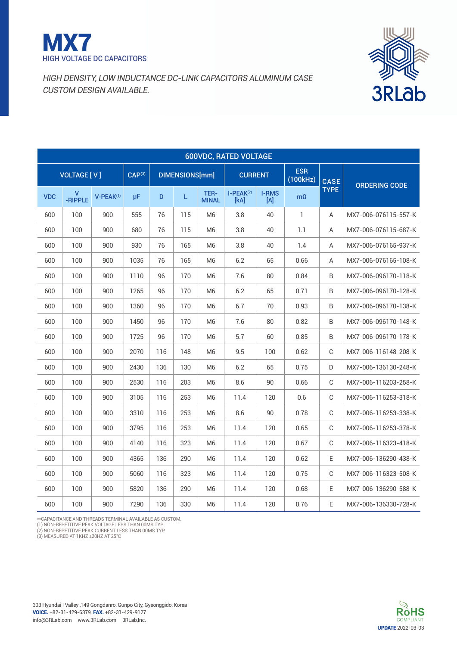



|            | <b>600VDC, RATED VOLTAGE</b> |           |                    |     |                       |                      |                     |                     |                        |             |                      |  |  |  |
|------------|------------------------------|-----------|--------------------|-----|-----------------------|----------------------|---------------------|---------------------|------------------------|-------------|----------------------|--|--|--|
|            | <b>VOLTAGE [V]</b>           |           | CAP <sup>(3)</sup> |     | <b>DIMENSIONS[mm]</b> |                      | <b>CURRENT</b>      |                     | <b>ESR</b><br>(100kHz) | <b>CASE</b> | <b>ORDERING CODE</b> |  |  |  |
| <b>VDC</b> | ۷<br>-RIPPLE                 | V-PEAK(1) | μF                 | D   | L                     | TER-<br><b>MINAL</b> | $I-PEAK(2)$<br>[kA] | <b>I-RMS</b><br>[A] | $m\Omega$              | <b>TYPE</b> |                      |  |  |  |
| 600        | 100                          | 900       | 555                | 76  | 115                   | M <sub>6</sub>       | 3.8                 | 40                  | 1                      | A           | MX7-006-076115-557-K |  |  |  |
| 600        | 100                          | 900       | 680                | 76  | 115                   | M <sub>6</sub>       | 3.8                 | 40                  | 1.1                    | A           | MX7-006-076115-687-K |  |  |  |
| 600        | 100                          | 900       | 930                | 76  | 165                   | M <sub>6</sub>       | 3.8                 | 40                  | 1.4                    | A           | MX7-006-076165-937-K |  |  |  |
| 600        | 100                          | 900       | 1035               | 76  | 165                   | M <sub>6</sub>       | 6.2                 | 65                  | 0.66                   | A           | MX7-006-076165-108-K |  |  |  |
| 600        | 100                          | 900       | 1110               | 96  | 170                   | M <sub>6</sub>       | 7.6                 | 80                  | 0.84                   | B           | MX7-006-096170-118-K |  |  |  |
| 600        | 100                          | 900       | 1265               | 96  | 170                   | M <sub>6</sub>       | 6.2                 | 65                  | 0.71                   | B           | MX7-006-096170-128-K |  |  |  |
| 600        | 100                          | 900       | 1360               | 96  | 170                   | M <sub>6</sub>       | 6.7                 | 70                  | 0.93                   | B           | MX7-006-096170-138-K |  |  |  |
| 600        | 100                          | 900       | 1450               | 96  | 170                   | M <sub>6</sub>       | 7.6                 | 80                  | 0.82                   | B           | MX7-006-096170-148-K |  |  |  |
| 600        | 100                          | 900       | 1725               | 96  | 170                   | M <sub>6</sub>       | 5.7                 | 60                  | 0.85                   | B           | MX7-006-096170-178-K |  |  |  |
| 600        | 100                          | 900       | 2070               | 116 | 148                   | M <sub>6</sub>       | 9.5                 | 100                 | 0.62                   | $\mathbb C$ | MX7-006-116148-208-K |  |  |  |
| 600        | 100                          | 900       | 2430               | 136 | 130                   | M <sub>6</sub>       | 6.2                 | 65                  | 0.75                   | D           | MX7-006-136130-248-K |  |  |  |
| 600        | 100                          | 900       | 2530               | 116 | 203                   | M <sub>6</sub>       | 8.6                 | 90                  | 0.66                   | C           | MX7-006-116203-258-K |  |  |  |
| 600        | 100                          | 900       | 3105               | 116 | 253                   | M <sub>6</sub>       | 11.4                | 120                 | 0.6                    | C           | MX7-006-116253-318-K |  |  |  |
| 600        | 100                          | 900       | 3310               | 116 | 253                   | M <sub>6</sub>       | 8.6                 | 90                  | 0.78                   | C           | MX7-006-116253-338-K |  |  |  |
| 600        | 100                          | 900       | 3795               | 116 | 253                   | M <sub>6</sub>       | 11.4                | 120                 | 0.65                   | C           | MX7-006-116253-378-K |  |  |  |
| 600        | 100                          | 900       | 4140               | 116 | 323                   | M <sub>6</sub>       | 11.4                | 120                 | 0.67                   | C           | MX7-006-116323-418-K |  |  |  |
| 600        | 100                          | 900       | 4365               | 136 | 290                   | M <sub>6</sub>       | 11.4                | 120                 | 0.62                   | E           | MX7-006-136290-438-K |  |  |  |
| 600        | 100                          | 900       | 5060               | 116 | 323                   | M <sub>6</sub>       | 11.4                | 120                 | 0.75                   | С           | MX7-006-116323-508-K |  |  |  |
| 600        | 100                          | 900       | 5820               | 136 | 290                   | M <sub>6</sub>       | 11.4                | 120                 | 0.68                   | E           | MX7-006-136290-588-K |  |  |  |
| 600        | 100                          | 900       | 7290               | 136 | 330                   | M <sub>6</sub>       | 11.4                | 120                 | 0.76                   | E           | MX7-006-136330-728-K |  |  |  |

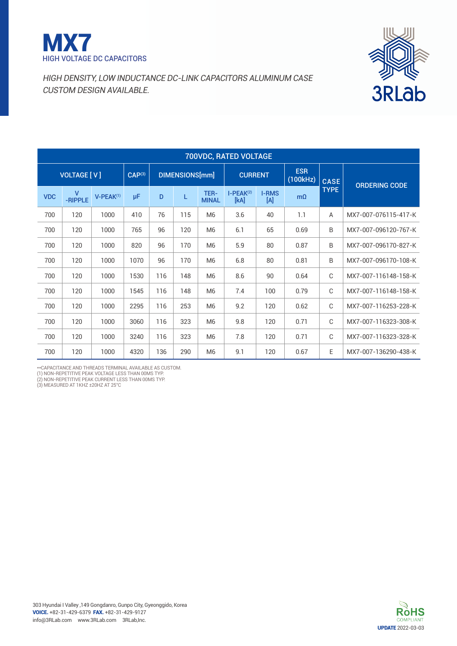



| 700VDC, RATED VOLTAGE |                      |                |                    |                |     |                      |                     |                                 |                        |             |                      |  |  |
|-----------------------|----------------------|----------------|--------------------|----------------|-----|----------------------|---------------------|---------------------------------|------------------------|-------------|----------------------|--|--|
|                       | <b>VOLTAGE [ V ]</b> |                | CAP <sup>(3)</sup> | DIMENSIONS[mm] |     |                      | <b>CURRENT</b>      |                                 | <b>ESR</b><br>(100kHz) | <b>CASE</b> | <b>ORDERING CODE</b> |  |  |
| <b>VDC</b>            | v<br>-RIPPLE         | $V-PEAK^{(1)}$ | μF                 | D              | L   | TER-<br><b>MINAL</b> | $I-PEAK(2)$<br>[kA] | <b>I-RMS</b><br>$[{\mathsf A}]$ | $m\Omega$              | <b>TYPE</b> |                      |  |  |
| 700                   | 120                  | 1000           | 410                | 76             | 115 | M <sub>6</sub>       | 3.6                 | 40                              | 1.1                    | A           | MX7-007-076115-417-K |  |  |
| 700                   | 120                  | 1000           | 765                | 96             | 120 | M <sub>6</sub>       | 6.1                 | 65                              | 0.69                   | B           | MX7-007-096120-767-K |  |  |
| 700                   | 120                  | 1000           | 820                | 96             | 170 | M <sub>6</sub>       | 5.9                 | 80                              | 0.87                   | B           | MX7-007-096170-827-K |  |  |
| 700                   | 120                  | 1000           | 1070               | 96             | 170 | M <sub>6</sub>       | 6.8                 | 80                              | 0.81                   | B           | MX7-007-096170-108-K |  |  |
| 700                   | 120                  | 1000           | 1530               | 116            | 148 | M <sub>6</sub>       | 8.6                 | 90                              | 0.64                   | C           | MX7-007-116148-158-K |  |  |
| 700                   | 120                  | 1000           | 1545               | 116            | 148 | M <sub>6</sub>       | 7.4                 | 100                             | 0.79                   | C           | MX7-007-116148-158-K |  |  |
| 700                   | 120                  | 1000           | 2295               | 116            | 253 | M <sub>6</sub>       | 9.2                 | 120                             | 0.62                   | C           | MX7-007-116253-228-K |  |  |
| 700                   | 120                  | 1000           | 3060               | 116            | 323 | M <sub>6</sub>       | 9.8                 | 120                             | 0.71                   | C           | MX7-007-116323-308-K |  |  |
| 700                   | 120                  | 1000           | 3240               | 116            | 323 | M <sub>6</sub>       | 7.8                 | 120                             | 0.71                   | C           | MX7-007-116323-328-K |  |  |
| 700                   | 120                  | 1000           | 4320               | 136            | 290 | M <sub>6</sub>       | 9.1                 | 120                             | 0.67                   | E           | MX7-007-136290-438-K |  |  |

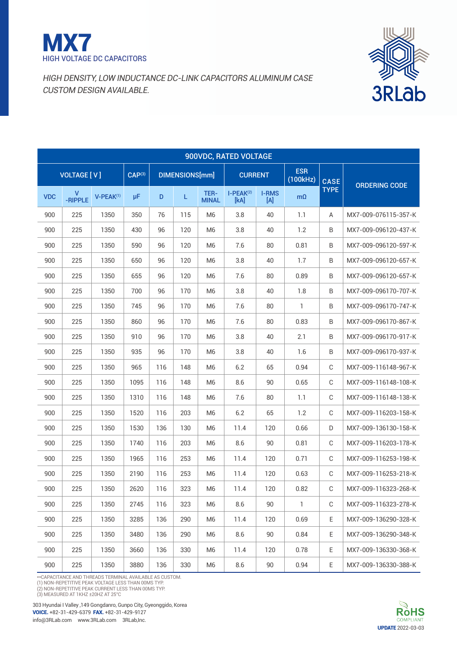



|            | 900VDC, RATED VOLTAGE |             |                    |     |                       |                      |                     |                     |                        |             |                      |  |  |  |
|------------|-----------------------|-------------|--------------------|-----|-----------------------|----------------------|---------------------|---------------------|------------------------|-------------|----------------------|--|--|--|
|            | <b>VOLTAGE [V]</b>    |             | CAP <sup>(3)</sup> |     | <b>DIMENSIONS[mm]</b> |                      | <b>CURRENT</b>      |                     | <b>ESR</b><br>(100kHz) | <b>CASE</b> |                      |  |  |  |
| <b>VDC</b> | v<br>-RIPPLE          | $V-PEAK(1)$ | μF                 | D   | L                     | TER-<br><b>MINAL</b> | $I-PEAK(2)$<br>[kA] | <b>I-RMS</b><br>[A] | $m\Omega$              | <b>TYPE</b> | <b>ORDERING CODE</b> |  |  |  |
| 900        | 225                   | 1350        | 350                | 76  | 115                   | M <sub>6</sub>       | 3.8                 | 40                  | 1.1                    | Α           | MX7-009-076115-357-K |  |  |  |
| 900        | 225                   | 1350        | 430                | 96  | 120                   | M <sub>6</sub>       | 3.8                 | 40                  | 1.2                    | B           | MX7-009-096120-437-K |  |  |  |
| 900        | 225                   | 1350        | 590                | 96  | 120                   | M6                   | 7.6                 | 80                  | 0.81                   | B           | MX7-009-096120-597-K |  |  |  |
| 900        | 225                   | 1350        | 650                | 96  | 120                   | M <sub>6</sub>       | 3.8                 | 40                  | 1.7                    | B           | MX7-009-096120-657-K |  |  |  |
| 900        | 225                   | 1350        | 655                | 96  | 120                   | M <sub>6</sub>       | 7.6                 | 80                  | 0.89                   | B           | MX7-009-096120-657-K |  |  |  |
| 900        | 225                   | 1350        | 700                | 96  | 170                   | M <sub>6</sub>       | 3.8                 | 40                  | 1.8                    | B           | MX7-009-096170-707-K |  |  |  |
| 900        | 225                   | 1350        | 745                | 96  | 170                   | M <sub>6</sub>       | 7.6                 | 80                  | 1                      | B           | MX7-009-096170-747-K |  |  |  |
| 900        | 225                   | 1350        | 860                | 96  | 170                   | M <sub>6</sub>       | 7.6                 | 80                  | 0.83                   | B           | MX7-009-096170-867-K |  |  |  |
| 900        | 225                   | 1350        | 910                | 96  | 170                   | M <sub>6</sub>       | 3.8                 | 40                  | 2.1                    | B           | MX7-009-096170-917-K |  |  |  |
| 900        | 225                   | 1350        | 935                | 96  | 170                   | M <sub>6</sub>       | 3.8                 | 40                  | 1.6                    | $\sf B$     | MX7-009-096170-937-K |  |  |  |
| 900        | 225                   | 1350        | 965                | 116 | 148                   | M <sub>6</sub>       | 6.2                 | 65                  | 0.94                   | C           | MX7-009-116148-967-K |  |  |  |
| 900        | 225                   | 1350        | 1095               | 116 | 148                   | M <sub>6</sub>       | 8.6                 | 90                  | 0.65                   | C           | MX7-009-116148-108-K |  |  |  |
| 900        | 225                   | 1350        | 1310               | 116 | 148                   | M <sub>6</sub>       | 7.6                 | 80                  | 1.1                    | $\mathbb C$ | MX7-009-116148-138-K |  |  |  |
| 900        | 225                   | 1350        | 1520               | 116 | 203                   | M <sub>6</sub>       | 6.2                 | 65                  | 1.2                    | C           | MX7-009-116203-158-K |  |  |  |
| 900        | 225                   | 1350        | 1530               | 136 | 130                   | M <sub>6</sub>       | 11.4                | 120                 | 0.66                   | D           | MX7-009-136130-158-K |  |  |  |
| 900        | 225                   | 1350        | 1740               | 116 | 203                   | M <sub>6</sub>       | 8.6                 | 90                  | 0.81                   | C           | MX7-009-116203-178-K |  |  |  |
| 900        | 225                   | 1350        | 1965               | 116 | 253                   | M <sub>6</sub>       | 11.4                | 120                 | 0.71                   | C           | MX7-009-116253-198-K |  |  |  |
| 900        | 225                   | 1350        | 2190               | 116 | 253                   | M <sub>6</sub>       | 11.4                | 120                 | 0.63                   | $\mathbb C$ | MX7-009-116253-218-K |  |  |  |
| 900        | 225                   | 1350        | 2620               | 116 | 323                   | M <sub>6</sub>       | 11.4                | 120                 | 0.82                   | C           | MX7-009-116323-268-K |  |  |  |
| 900        | 225                   | 1350        | 2745               | 116 | 323                   | M6                   | 8.6                 | 90                  | $\mathbf{1}$           | C           | MX7-009-116323-278-K |  |  |  |
| 900        | 225                   | 1350        | 3285               | 136 | 290                   | M <sub>6</sub>       | 11.4                | 120                 | 0.69                   | E.          | MX7-009-136290-328-K |  |  |  |
| 900        | 225                   | 1350        | 3480               | 136 | 290                   | M <sub>6</sub>       | 8.6                 | 90                  | 0.84                   | Е           | MX7-009-136290-348-K |  |  |  |
| 900        | 225                   | 1350        | 3660               | 136 | 330                   | M6                   | 11.4                | 120                 | 0.78                   | E           | MX7-009-136330-368-K |  |  |  |
| 900        | 225                   | 1350        | 3880               | 136 | 330                   | M <sub>6</sub>       | 8.6                 | $90\,$              | 0.94                   | E           | MX7-009-136330-388-K |  |  |  |

\*\*CAPACITANCE AND THREADS TERMINAL AVAILABLE AS CUSTOM.

(1) NON-REPETITIVE PEAK VOLTAGE LESS THAN 00MS TYP.<br>(2) NON-REPETITIVE PEAK CURRENT LESS THAN 00MS TYP.<br>(3) MEASURED AT 1 KHZ ±20HZ AT 25°C

303 Hyundai I Valley ,149 Gongdanro, Gunpo City, Gyeonggido, Korea voice. +82-31-429-6379 fax. +82-31-429-9127

info@3RLab.com www.3RLab.com 3RLab,Inc.

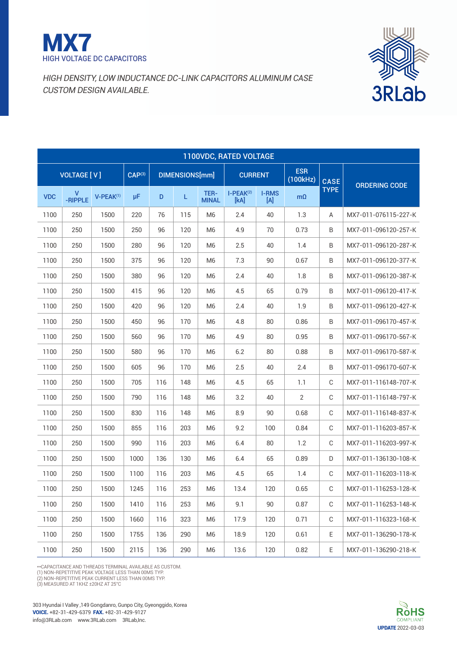



| 1100VDC, RATED VOLTAGE |                    |             |                    |                       |     |                      |                     |                        |             |                      |                      |  |  |
|------------------------|--------------------|-------------|--------------------|-----------------------|-----|----------------------|---------------------|------------------------|-------------|----------------------|----------------------|--|--|
|                        | <b>VOLTAGE [V]</b> |             | CAP <sup>(3)</sup> | <b>DIMENSIONS[mm]</b> |     | <b>CURRENT</b>       |                     | <b>ESR</b><br>(100kHz) | <b>CASE</b> | <b>ORDERING CODE</b> |                      |  |  |
| <b>VDC</b>             | V<br>-RIPPLE       | $V-PEAK(1)$ | μF                 | D                     | L   | TER-<br><b>MINAL</b> | $I-PEAK(2)$<br>[kA] | <b>I-RMS</b><br>[A]    | $m\Omega$   | <b>TYPE</b>          |                      |  |  |
| 1100                   | 250                | 1500        | 220                | 76                    | 115 | M <sub>6</sub>       | 2.4                 | 40                     | 1.3         | A                    | MX7-011-076115-227-K |  |  |
| 1100                   | 250                | 1500        | 250                | 96                    | 120 | M <sub>6</sub>       | 4.9                 | 70                     | 0.73        | B                    | MX7-011-096120-257-K |  |  |
| 1100                   | 250                | 1500        | 280                | 96                    | 120 | M <sub>6</sub>       | 2.5                 | 40                     | 1.4         | B                    | MX7-011-096120-287-K |  |  |
| 1100                   | 250                | 1500        | 375                | 96                    | 120 | M <sub>6</sub>       | 7.3                 | 90                     | 0.67        | B                    | MX7-011-096120-377-K |  |  |
| 1100                   | 250                | 1500        | 380                | 96                    | 120 | M <sub>6</sub>       | 2.4                 | 40                     | 1.8         | B                    | MX7-011-096120-387-K |  |  |
| 1100                   | 250                | 1500        | 415                | 96                    | 120 | M6                   | 4.5                 | 65                     | 0.79        | B                    | MX7-011-096120-417-K |  |  |
| 1100                   | 250                | 1500        | 420                | 96                    | 120 | M <sub>6</sub>       | 2.4                 | 40                     | 1.9         | B                    | MX7-011-096120-427-K |  |  |
| 1100                   | 250                | 1500        | 450                | 96                    | 170 | M <sub>6</sub>       | 4.8                 | 80                     | 0.86        | B                    | MX7-011-096170-457-K |  |  |
| 1100                   | 250                | 1500        | 560                | 96                    | 170 | M6                   | 4.9                 | 80                     | 0.95        | B                    | MX7-011-096170-567-K |  |  |
| 1100                   | 250                | 1500        | 580                | 96                    | 170 | M <sub>6</sub>       | 6.2                 | 80                     | 0.88        | B                    | MX7-011-096170-587-K |  |  |
| 1100                   | 250                | 1500        | 605                | 96                    | 170 | M <sub>6</sub>       | 2.5                 | 40                     | 2.4         | B                    | MX7-011-096170-607-K |  |  |
| 1100                   | 250                | 1500        | 705                | 116                   | 148 | M <sub>6</sub>       | 4.5                 | 65                     | 1.1         | C                    | MX7-011-116148-707-K |  |  |
| 1100                   | 250                | 1500        | 790                | 116                   | 148 | M <sub>6</sub>       | 3.2                 | 40                     | 2           | C                    | MX7-011-116148-797-K |  |  |
| 1100                   | 250                | 1500        | 830                | 116                   | 148 | M <sub>6</sub>       | 8.9                 | 90                     | 0.68        | C                    | MX7-011-116148-837-K |  |  |
| 1100                   | 250                | 1500        | 855                | 116                   | 203 | M <sub>6</sub>       | 9.2                 | 100                    | 0.84        | C                    | MX7-011-116203-857-K |  |  |
| 1100                   | 250                | 1500        | 990                | 116                   | 203 | M <sub>6</sub>       | 6.4                 | 80                     | 1.2         | C                    | MX7-011-116203-997-K |  |  |
| 1100                   | 250                | 1500        | 1000               | 136                   | 130 | M <sub>6</sub>       | 6.4                 | 65                     | 0.89        | D                    | MX7-011-136130-108-K |  |  |
| 1100                   | 250                | 1500        | 1100               | 116                   | 203 | M <sub>6</sub>       | 4.5                 | 65                     | 1.4         | C                    | MX7-011-116203-118-K |  |  |
| 1100                   | 250                | 1500        | 1245               | 116                   | 253 | M6                   | 13.4                | 120                    | 0.65        | С                    | MX7-011-116253-128-K |  |  |
| 1100                   | 250                | 1500        | 1410               | 116                   | 253 | M <sub>6</sub>       | 9.1                 | 90                     | 0.87        | C                    | MX7-011-116253-148-K |  |  |
| 1100                   | 250                | 1500        | 1660               | 116                   | 323 | M <sub>6</sub>       | 17.9                | 120                    | 0.71        | $\mathbb C$          | MX7-011-116323-168-K |  |  |
| 1100                   | 250                | 1500        | 1755               | 136                   | 290 | M6                   | 18.9                | 120                    | 0.61        | Ε                    | MX7-011-136290-178-K |  |  |
| 1100                   | 250                | 1500        | 2115               | 136                   | 290 | M6                   | 13.6                | 120                    | 0.82        | E                    | MX7-011-136290-218-K |  |  |

\*\*Capacitance and threads terminal available as custom.

(1) NON-REPETITIVE PEAK VOLTAGE LESS THAN 00MS TYP.<br>(2) NON-REPETITIVE PEAK CURRENT LESS THAN 00MS TYP.<br>(3) MEASURED AT 1 KHZ ±20HZ AT 25°C

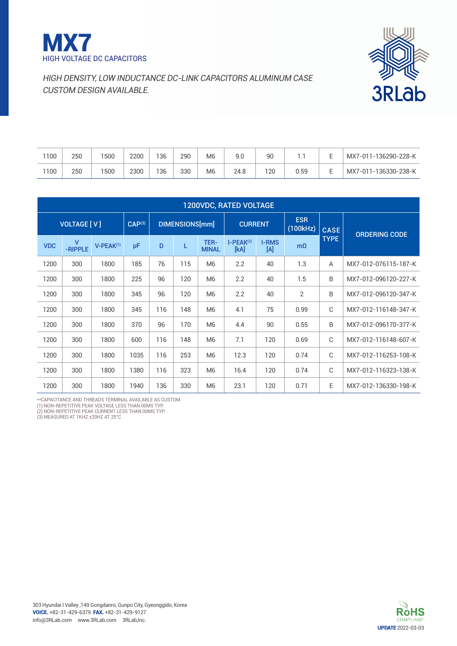



| 1100 | 250 | 500 | 2200 | 36  | 290 | M <sub>6</sub> | 9.0  | 90  | . .  | MX7-011-136290-228-K |
|------|-----|-----|------|-----|-----|----------------|------|-----|------|----------------------|
| 1100 | 250 | 500 | 2300 | 136 | 330 | M <sub>6</sub> | 24.8 | 120 | 0.59 | MX7-011-136330-238-K |

| <b>1200VDC, RATED VOLTAGE</b> |                                          |                       |      |                |     |                      |                     |                     |                        |             |                      |  |  |
|-------------------------------|------------------------------------------|-----------------------|------|----------------|-----|----------------------|---------------------|---------------------|------------------------|-------------|----------------------|--|--|
|                               | <b>VOLTAGE [V]</b><br>CAP <sup>(3)</sup> |                       |      | DIMENSIONS[mm] |     |                      | <b>CURRENT</b>      |                     | <b>ESR</b><br>(100kHz) | <b>CASE</b> | <b>ORDERING CODE</b> |  |  |
| <b>VDC</b>                    | v<br>-RIPPLE                             | V-PEAK <sup>(1)</sup> | μF   | D              | L   | TER-<br><b>MINAL</b> | $I-PEAK(2)$<br>[kA] | <b>I-RMS</b><br>[A] | $m\Omega$              | <b>TYPE</b> |                      |  |  |
| 1200                          | 300                                      | 1800                  | 185  | 76             | 115 | M <sub>6</sub>       | 2.2                 | 40                  | 1.3                    | A           | MX7-012-076115-187-K |  |  |
| 1200                          | 300                                      | 1800                  | 225  | 96             | 120 | M <sub>6</sub>       | 2.2                 | 40                  | 1.5                    | B           | MX7-012-096120-227-K |  |  |
| 1200                          | 300                                      | 1800                  | 345  | 96             | 120 | M <sub>6</sub>       | 2.2                 | 40                  | $\overline{2}$         | B           | MX7-012-096120-347-K |  |  |
| 1200                          | 300                                      | 1800                  | 345  | 116            | 148 | M <sub>6</sub>       | 4.1                 | 75                  | 0.99                   | C           | MX7-012-116148-347-K |  |  |
| 1200                          | 300                                      | 1800                  | 370  | 96             | 170 | M <sub>6</sub>       | 4.4                 | 90                  | 0.55                   | B           | MX7-012-096170-377-K |  |  |
| 1200                          | 300                                      | 1800                  | 600  | 116            | 148 | M <sub>6</sub>       | 7.1                 | 120                 | 0.69                   | C           | MX7-012-116148-607-K |  |  |
| 1200                          | 300                                      | 1800                  | 1035 | 116            | 253 | M <sub>6</sub>       | 12.3                | 120                 | 0.74                   | C           | MX7-012-116253-108-K |  |  |
| 1200                          | 300                                      | 1800                  | 1380 | 116            | 323 | M <sub>6</sub>       | 16.4                | 120                 | 0.74                   | C           | MX7-012-116323-138-K |  |  |
| 1200                          | 300                                      | 1800                  | 1940 | 136            | 330 | M <sub>6</sub>       | 23.1                | 120                 | 0.71                   | E           | MX7-012-136330-198-K |  |  |

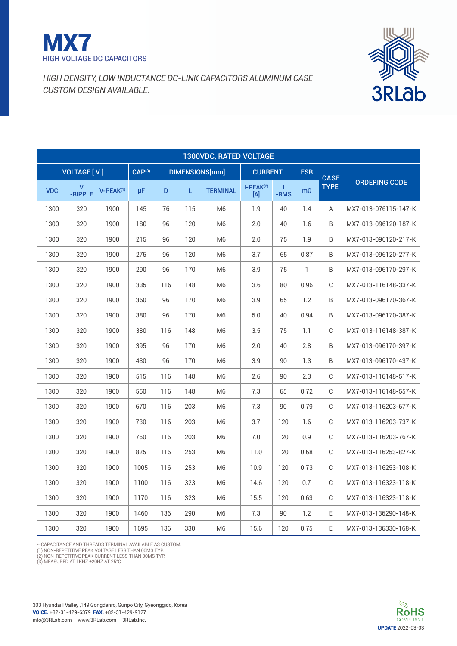



|            | 1300VDC, RATED VOLTAGE |                |                    |     |                |                 |                       |           |              |             |                      |  |  |  |
|------------|------------------------|----------------|--------------------|-----|----------------|-----------------|-----------------------|-----------|--------------|-------------|----------------------|--|--|--|
|            | <b>VOLTAGE [V]</b>     |                | CAP <sup>(3)</sup> |     | DIMENSIONS[mm] |                 | <b>CURRENT</b>        |           | <b>ESR</b>   | <b>CASE</b> |                      |  |  |  |
| <b>VDC</b> | V<br>-RIPPLE           | $V-PEAK^{(1)}$ | μF.                | D   | L.             | <b>TERMINAL</b> | $I-PEAK^{(2)}$<br>[A] | т<br>-RMS | $m\Omega$    | <b>TYPE</b> | <b>ORDERING CODE</b> |  |  |  |
| 1300       | 320                    | 1900           | 145                | 76  | 115            | M <sub>6</sub>  | 1.9                   | 40        | 1.4          | A           | MX7-013-076115-147-K |  |  |  |
| 1300       | 320                    | 1900           | 180                | 96  | 120            | M <sub>6</sub>  | 2.0                   | 40        | 1.6          | B           | MX7-013-096120-187-K |  |  |  |
| 1300       | 320                    | 1900           | 215                | 96  | 120            | M6              | 2.0                   | 75        | 1.9          | B           | MX7-013-096120-217-K |  |  |  |
| 1300       | 320                    | 1900           | 275                | 96  | 120            | M6              | 3.7                   | 65        | 0.87         | B           | MX7-013-096120-277-K |  |  |  |
| 1300       | 320                    | 1900           | 290                | 96  | 170            | M6              | 3.9                   | 75        | $\mathbf{1}$ | B           | MX7-013-096170-297-K |  |  |  |
| 1300       | 320                    | 1900           | 335                | 116 | 148            | M <sub>6</sub>  | 3.6                   | 80        | 0.96         | C           | MX7-013-116148-337-K |  |  |  |
| 1300       | 320                    | 1900           | 360                | 96  | 170            | M6              | 3.9                   | 65        | 1.2          | B           | MX7-013-096170-367-K |  |  |  |
| 1300       | 320                    | 1900           | 380                | 96  | 170            | M <sub>6</sub>  | 5.0                   | 40        | 0.94         | B           | MX7-013-096170-387-K |  |  |  |
| 1300       | 320                    | 1900           | 380                | 116 | 148            | M <sub>6</sub>  | 3.5                   | 75        | 1.1          | C           | MX7-013-116148-387-K |  |  |  |
| 1300       | 320                    | 1900           | 395                | 96  | 170            | M <sub>6</sub>  | 2.0                   | 40        | 2.8          | B           | MX7-013-096170-397-K |  |  |  |
| 1300       | 320                    | 1900           | 430                | 96  | 170            | M <sub>6</sub>  | 3.9                   | 90        | 1.3          | B           | MX7-013-096170-437-K |  |  |  |
| 1300       | 320                    | 1900           | 515                | 116 | 148            | M <sub>6</sub>  | 2.6                   | 90        | 2.3          | C           | MX7-013-116148-517-K |  |  |  |
| 1300       | 320                    | 1900           | 550                | 116 | 148            | M <sub>6</sub>  | 7.3                   | 65        | 0.72         | C           | MX7-013-116148-557-K |  |  |  |
| 1300       | 320                    | 1900           | 670                | 116 | 203            | M <sub>6</sub>  | 7.3                   | 90        | 0.79         | C           | MX7-013-116203-677-K |  |  |  |
| 1300       | 320                    | 1900           | 730                | 116 | 203            | M <sub>6</sub>  | 3.7                   | 120       | 1.6          | C           | MX7-013-116203-737-K |  |  |  |
| 1300       | 320                    | 1900           | 760                | 116 | 203            | M <sub>6</sub>  | 7.0                   | 120       | 0.9          | C           | MX7-013-116203-767-K |  |  |  |
| 1300       | 320                    | 1900           | 825                | 116 | 253            | M <sub>6</sub>  | 11.0                  | 120       | 0.68         | C           | MX7-013-116253-827-K |  |  |  |
| 1300       | 320                    | 1900           | 1005               | 116 | 253            | M <sub>6</sub>  | 10.9                  | 120       | 0.73         | C           | MX7-013-116253-108-K |  |  |  |
| 1300       | 320                    | 1900           | 1100               | 116 | 323            | M <sub>6</sub>  | 14.6                  | 120       | 0.7          | C           | MX7-013-116323-118-K |  |  |  |
| 1300       | 320                    | 1900           | 1170               | 116 | 323            | M <sub>6</sub>  | 15.5                  | 120       | 0.63         | C           | MX7-013-116323-118-K |  |  |  |
| 1300       | 320                    | 1900           | 1460               | 136 | 290            | M <sub>6</sub>  | 7.3                   | 90        | 1.2          | E.          | MX7-013-136290-148-K |  |  |  |
| 1300       | 320                    | 1900           | 1695               | 136 | 330            | M <sub>6</sub>  | 15.6                  | 120       | 0.75         | E           | MX7-013-136330-168-K |  |  |  |



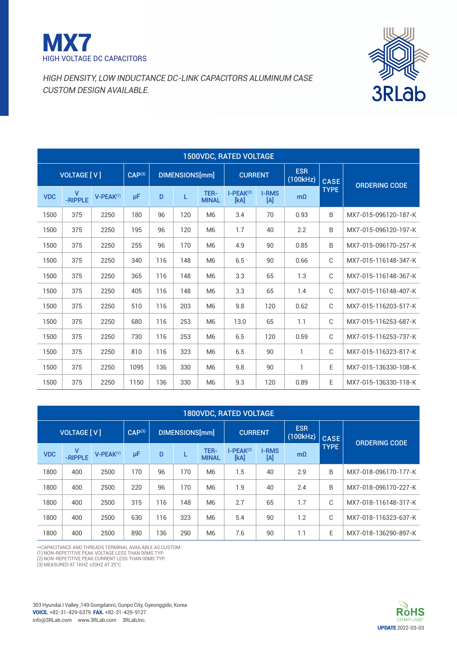



| <b>1500VDC, RATED VOLTAGE</b>                       |                         |                |                |     |     |                        |                     |                      |              |             |                      |  |  |
|-----------------------------------------------------|-------------------------|----------------|----------------|-----|-----|------------------------|---------------------|----------------------|--------------|-------------|----------------------|--|--|
| <b>VOLTAGE [V]</b><br>$CAP^{(3)}$<br>DIMENSIONS[mm] |                         |                | <b>CURRENT</b> |     |     | <b>ESR</b><br>(100kHz) | <b>CASE</b>         | <b>ORDERING CODE</b> |              |             |                      |  |  |
| <b>VDC</b>                                          | $\mathsf{V}$<br>-RIPPLE | $V-PEAK^{(1)}$ | μF             | D   | L   | TER-<br><b>MINAL</b>   | $I-PEAK(2)$<br>[kA] | <b>I-RMS</b><br>[A]  | $m\Omega$    | <b>TYPE</b> |                      |  |  |
| 1500                                                | 375                     | 2250           | 180            | 96  | 120 | M <sub>6</sub>         | 3.4                 | 70                   | 0.93         | B           | MX7-015-096120-187-K |  |  |
| 1500                                                | 375                     | 2250           | 195            | 96  | 120 | M <sub>6</sub>         | 1.7                 | 40                   | 2.2          | B           | MX7-015-096120-197-K |  |  |
| 1500                                                | 375                     | 2250           | 255            | 96  | 170 | M <sub>6</sub>         | 4.9                 | 90                   | 0.85         | B           | MX7-015-096170-257-K |  |  |
| 1500                                                | 375                     | 2250           | 340            | 116 | 148 | M <sub>6</sub>         | 6.5                 | 90                   | 0.66         | C           | MX7-015-116148-347-K |  |  |
| 1500                                                | 375                     | 2250           | 365            | 116 | 148 | M <sub>6</sub>         | 3.3                 | 65                   | 1.3          | C           | MX7-015-116148-367-K |  |  |
| 1500                                                | 375                     | 2250           | 405            | 116 | 148 | M <sub>6</sub>         | 3.3                 | 65                   | 1.4          | C           | MX7-015-116148-407-K |  |  |
| 1500                                                | 375                     | 2250           | 510            | 116 | 203 | M <sub>6</sub>         | 9.8                 | 120                  | 0.62         | $\mathbb C$ | MX7-015-116203-517-K |  |  |
| 1500                                                | 375                     | 2250           | 680            | 116 | 253 | M <sub>6</sub>         | 13.0                | 65                   | 1.1          | C           | MX7-015-116253-687-K |  |  |
| 1500                                                | 375                     | 2250           | 730            | 116 | 253 | M <sub>6</sub>         | 6.5                 | 120                  | 0.59         | C           | MX7-015-116253-737-K |  |  |
| 1500                                                | 375                     | 2250           | 810            | 116 | 323 | M <sub>6</sub>         | 6.5                 | 90                   | $\mathbf{1}$ | C           | MX7-015-116323-817-K |  |  |
| 1500                                                | 375                     | 2250           | 1095           | 136 | 330 | M <sub>6</sub>         | 9.8                 | 90                   | 1            | E           | MX7-015-136330-108-K |  |  |
| 1500                                                | 375                     | 2250           | 1150           | 136 | 330 | M <sub>6</sub>         | 9.3                 | 120                  | 0.89         | E           | MX7-015-136330-118-K |  |  |

| <b>1800VDC, RATED VOLTAGE</b> |                      |                |                    |     |                       |                      |                     |                     |                        |             |                      |  |  |
|-------------------------------|----------------------|----------------|--------------------|-----|-----------------------|----------------------|---------------------|---------------------|------------------------|-------------|----------------------|--|--|
|                               | <b>VOLTAGE [ V ]</b> |                | CAP <sup>(3)</sup> |     | <b>DIMENSIONS[mm]</b> |                      | <b>CURRENT</b>      |                     | <b>ESR</b><br>(100kHz) | <b>CASE</b> | <b>ORDERING CODE</b> |  |  |
| <b>VDC</b>                    | v<br>-RIPPLE         | $V-PEAK^{(1)}$ | μF                 | D   |                       | TER-<br><b>MINAL</b> | $I-PEAK(2)$<br>[kA] | <b>I-RMS</b><br>[A] | $m\Omega$              | <b>TYPE</b> |                      |  |  |
| 1800                          | 400                  | 2500           | 170                | 96  | 170                   | M <sub>6</sub>       | 1.5                 | 40                  | 2.9                    | B           | MX7-018-096170-177-K |  |  |
| 1800                          | 400                  | 2500           | 220                | 96  | 170                   | M <sub>6</sub>       | 1.9                 | 40                  | 2.4                    | B           | MX7-018-096170-227-K |  |  |
| 1800                          | 400                  | 2500           | 315                | 116 | 148                   | M <sub>6</sub>       | 2.7                 | 65                  | 1.7                    | C           | MX7-018-116148-317-K |  |  |
| 1800                          | 400                  | 2500           | 630                | 116 | 323                   | M <sub>6</sub>       | 5.4                 | 90                  | 1.2                    | C           | MX7-018-116323-637-K |  |  |
| 1800                          | 400                  | 2500           | 890                | 36  | 290                   | M <sub>6</sub>       | 7.6                 | 90                  | 1.1                    | E           | MX7-018-136290-897-K |  |  |

\*\*CAPACITANCE AND THREADS TERMINAL AVAILABLE AS CUSTOM.

(1) NON-REPETITIVE PEAK VOLTAGE LESS THAN 00MS TYP.<br>(2) NON-REPETITIVE PEAK CURRENT LESS THAN 00MS TYP.<br>(3) MEASURED AT 1 KHZ ±20HZ AT 25°C



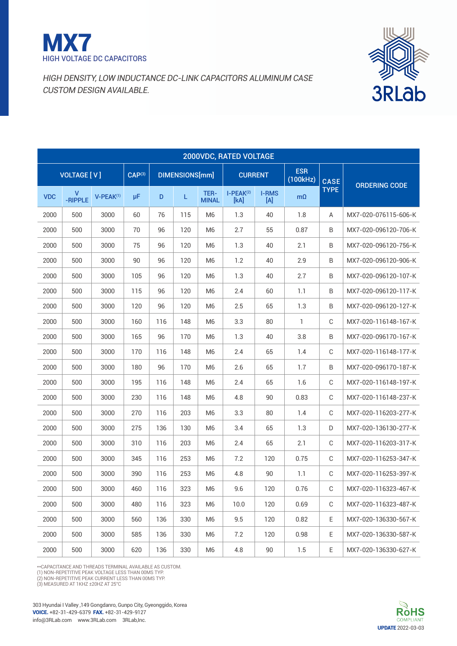



|            | 2000VDC, RATED VOLTAGE |                       |                    |                       |     |                      |                     |                        |             |                      |                      |  |  |  |
|------------|------------------------|-----------------------|--------------------|-----------------------|-----|----------------------|---------------------|------------------------|-------------|----------------------|----------------------|--|--|--|
|            | <b>VOLTAGE [V]</b>     |                       | CAP <sup>(3)</sup> | <b>DIMENSIONS[mm]</b> |     | <b>CURRENT</b>       |                     | <b>ESR</b><br>(100kHz) | <b>CASE</b> | <b>ORDERING CODE</b> |                      |  |  |  |
| <b>VDC</b> | v<br>-RIPPLE           | V-PEAK <sup>(1)</sup> | μF                 | $\mathsf D$           | L   | TER-<br><b>MINAL</b> | $I-PEAK(2)$<br>[kA] | <b>I-RMS</b><br>[A]    | $m\Omega$   | <b>TYPE</b>          |                      |  |  |  |
| 2000       | 500                    | 3000                  | 60                 | 76                    | 115 | M <sub>6</sub>       | 1.3                 | 40                     | 1.8         | Α                    | MX7-020-076115-606-K |  |  |  |
| 2000       | 500                    | 3000                  | 70                 | 96                    | 120 | M <sub>6</sub>       | 2.7                 | 55                     | 0.87        | B                    | MX7-020-096120-706-K |  |  |  |
| 2000       | 500                    | 3000                  | 75                 | 96                    | 120 | M6                   | 1.3                 | 40                     | 2.1         | B                    | MX7-020-096120-756-K |  |  |  |
| 2000       | 500                    | 3000                  | 90                 | 96                    | 120 | M <sub>6</sub>       | 1.2                 | 40                     | 2.9         | B                    | MX7-020-096120-906-K |  |  |  |
| 2000       | 500                    | 3000                  | 105                | 96                    | 120 | M <sub>6</sub>       | 1.3                 | 40                     | 2.7         | B                    | MX7-020-096120-107-K |  |  |  |
| 2000       | 500                    | 3000                  | 115                | 96                    | 120 | M <sub>6</sub>       | 2.4                 | 60                     | 1.1         | B                    | MX7-020-096120-117-K |  |  |  |
| 2000       | 500                    | 3000                  | 120                | 96                    | 120 | M <sub>6</sub>       | 2.5                 | 65                     | 1.3         | B                    | MX7-020-096120-127-K |  |  |  |
| 2000       | 500                    | 3000                  | 160                | 116                   | 148 | M <sub>6</sub>       | 3.3                 | 80                     | 1           | C                    | MX7-020-116148-167-K |  |  |  |
| 2000       | 500                    | 3000                  | 165                | 96                    | 170 | M <sub>6</sub>       | 1.3                 | 40                     | 3.8         | B                    | MX7-020-096170-167-K |  |  |  |
| 2000       | 500                    | 3000                  | 170                | 116                   | 148 | M <sub>6</sub>       | 2.4                 | 65                     | 1.4         | $\mathbb C$          | MX7-020-116148-177-K |  |  |  |
| 2000       | 500                    | 3000                  | 180                | 96                    | 170 | M <sub>6</sub>       | 2.6                 | 65                     | 1.7         | B                    | MX7-020-096170-187-K |  |  |  |
| 2000       | 500                    | 3000                  | 195                | 116                   | 148 | M <sub>6</sub>       | 2.4                 | 65                     | 1.6         | C                    | MX7-020-116148-197-K |  |  |  |
| 2000       | 500                    | 3000                  | 230                | 116                   | 148 | M <sub>6</sub>       | 4.8                 | 90                     | 0.83        | C                    | MX7-020-116148-237-K |  |  |  |
| 2000       | 500                    | 3000                  | 270                | 116                   | 203 | M <sub>6</sub>       | 3.3                 | 80                     | 1.4         | C                    | MX7-020-116203-277-K |  |  |  |
| 2000       | 500                    | 3000                  | 275                | 136                   | 130 | M <sub>6</sub>       | 3.4                 | 65                     | 1.3         | D                    | MX7-020-136130-277-K |  |  |  |
| 2000       | 500                    | 3000                  | 310                | 116                   | 203 | M <sub>6</sub>       | 2.4                 | 65                     | 2.1         | $\mathsf{C}$         | MX7-020-116203-317-K |  |  |  |
| 2000       | 500                    | 3000                  | 345                | 116                   | 253 | M <sub>6</sub>       | 7.2                 | 120                    | 0.75        | $\mathsf{C}$         | MX7-020-116253-347-K |  |  |  |
| 2000       | 500                    | 3000                  | 390                | 116                   | 253 | M <sub>6</sub>       | 4.8                 | 90                     | 1.1         | $\mathsf{C}$         | MX7-020-116253-397-K |  |  |  |
| 2000       | 500                    | 3000                  | 460                | 116                   | 323 | M <sub>6</sub>       | 9.6                 | 120                    | 0.76        | C                    | MX7-020-116323-467-K |  |  |  |
| 2000       | 500                    | 3000                  | 480                | 116                   | 323 | M6                   | 10.0                | 120                    | 0.69        | C                    | MX7-020-116323-487-K |  |  |  |
| 2000       | 500                    | 3000                  | 560                | 136                   | 330 | M6                   | 9.5                 | 120                    | 0.82        | Е                    | MX7-020-136330-567-K |  |  |  |
| 2000       | 500                    | 3000                  | 585                | 136                   | 330 | M6                   | 7.2                 | 120                    | 0.98        | Е                    | MX7-020-136330-587-K |  |  |  |
| 2000       | 500                    | 3000                  | 620                | 136                   | 330 | M6                   | 4.8                 | 90                     | 1.5         | Ε                    | MX7-020-136330-627-K |  |  |  |

\*\*Capacitance and threads terminal available as custom.

(1) NON-REPETITIVE PEAK VOLTAGE LESS THAN 00MS TYP.<br>(2) NON-REPETITIVE PEAK CURRENT LESS THAN 00MS TYP.<br>(3) MEASURED AT 1 KHZ ±20HZ AT 25°C

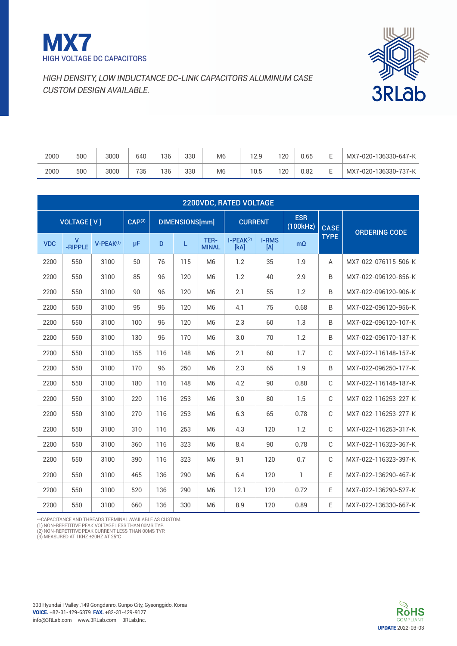



| 2000 | 500 | 3000 | 640 | 136 | 330 | M <sub>6</sub> | 12.9 | 20 | 0.65 | MX7-020-136330-647-K |
|------|-----|------|-----|-----|-----|----------------|------|----|------|----------------------|
| 2000 | 500 | 3000 | 735 | 36  | 330 | M <sub>6</sub> | 10.5 | 20 | 0.82 | MX7-020-136330-737-K |

| <b>2200VDC, RATED VOLTAGE</b> |                         |                                                 |     |     |     |                      |                     |                                 |             |                      |                      |  |  |
|-------------------------------|-------------------------|-------------------------------------------------|-----|-----|-----|----------------------|---------------------|---------------------------------|-------------|----------------------|----------------------|--|--|
| <b>VOLTAGE [V]</b>            |                         | $\overline{CAP^{(3)}}$<br><b>DIMENSIONS[mm]</b> |     |     |     | <b>CURRENT</b>       |                     | <b>ESR</b><br>(100kHz)          | <b>CASE</b> | <b>ORDERING CODE</b> |                      |  |  |
| <b>VDC</b>                    | $\mathsf{V}$<br>-RIPPLE | $V-PEAK^{(1)}$                                  | μF  | D   | L   | TER-<br><b>MINAL</b> | $I-PEAK(2)$<br>[kA] | <b>I-RMS</b><br>$[{\mathsf A}]$ | $m\Omega$   | <b>TYPE</b>          |                      |  |  |
| 2200                          | 550                     | 3100                                            | 50  | 76  | 115 | M <sub>6</sub>       | 1.2                 | 35                              | 1.9         | A                    | MX7-022-076115-506-K |  |  |
| 2200                          | 550                     | 3100                                            | 85  | 96  | 120 | M <sub>6</sub>       | 1.2                 | 40                              | 2.9         | B                    | MX7-022-096120-856-K |  |  |
| 2200                          | 550                     | 3100                                            | 90  | 96  | 120 | M <sub>6</sub>       | 2.1                 | 55                              | 1.2         | B                    | MX7-022-096120-906-K |  |  |
| 2200                          | 550                     | 3100                                            | 95  | 96  | 120 | M <sub>6</sub>       | 4.1                 | 75                              | 0.68        | B                    | MX7-022-096120-956-K |  |  |
| 2200                          | 550                     | 3100                                            | 100 | 96  | 120 | M <sub>6</sub>       | 2.3                 | 60                              | 1.3         | B                    | MX7-022-096120-107-K |  |  |
| 2200                          | 550                     | 3100                                            | 130 | 96  | 170 | M <sub>6</sub>       | 3.0                 | 70                              | 1.2         | B                    | MX7-022-096170-137-K |  |  |
| 2200                          | 550                     | 3100                                            | 155 | 116 | 148 | M <sub>6</sub>       | 2.1                 | 60                              | 1.7         | C                    | MX7-022-116148-157-K |  |  |
| 2200                          | 550                     | 3100                                            | 170 | 96  | 250 | M <sub>6</sub>       | 2.3                 | 65                              | 1.9         | B                    | MX7-022-096250-177-K |  |  |
| 2200                          | 550                     | 3100                                            | 180 | 116 | 148 | M <sub>6</sub>       | 4.2                 | 90                              | 0.88        | C                    | MX7-022-116148-187-K |  |  |
| 2200                          | 550                     | 3100                                            | 220 | 116 | 253 | M <sub>6</sub>       | 3.0                 | 80                              | 1.5         | C                    | MX7-022-116253-227-K |  |  |
| 2200                          | 550                     | 3100                                            | 270 | 116 | 253 | M <sub>6</sub>       | 6.3                 | 65                              | 0.78        | $\mathbb C$          | MX7-022-116253-277-K |  |  |
| 2200                          | 550                     | 3100                                            | 310 | 116 | 253 | M <sub>6</sub>       | 4.3                 | 120                             | 1.2         | C                    | MX7-022-116253-317-K |  |  |
| 2200                          | 550                     | 3100                                            | 360 | 116 | 323 | M <sub>6</sub>       | 8.4                 | 90                              | 0.78        | $\mathsf{C}$         | MX7-022-116323-367-K |  |  |
| 2200                          | 550                     | 3100                                            | 390 | 116 | 323 | M <sub>6</sub>       | 9.1                 | 120                             | 0.7         | C                    | MX7-022-116323-397-K |  |  |
| 2200                          | 550                     | 3100                                            | 465 | 136 | 290 | M <sub>6</sub>       | 6.4                 | 120                             | 1           | E                    | MX7-022-136290-467-K |  |  |
| 2200                          | 550                     | 3100                                            | 520 | 136 | 290 | M <sub>6</sub>       | 12.1                | 120                             | 0.72        | E                    | MX7-022-136290-527-K |  |  |
| 2200                          | 550                     | 3100                                            | 660 | 136 | 330 | M <sub>6</sub>       | 8.9                 | 120                             | 0.89        | E                    | MX7-022-136330-667-K |  |  |

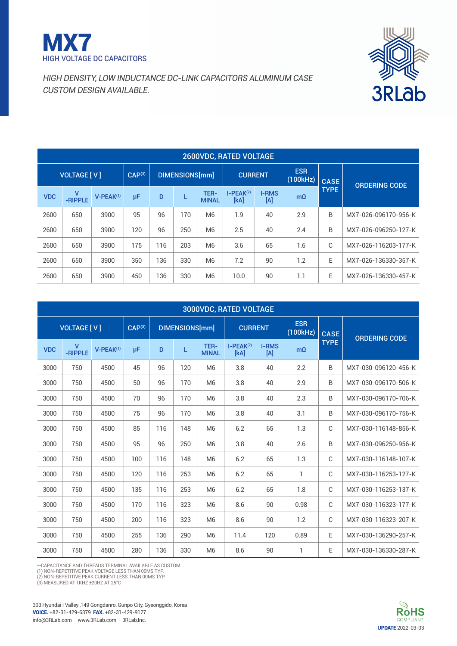



|                    | <b>2600VDC, RATED VOLTAGE</b> |                         |                |     |     |                |                      |                        |                     |                      |             |                      |  |  |  |
|--------------------|-------------------------------|-------------------------|----------------|-----|-----|----------------|----------------------|------------------------|---------------------|----------------------|-------------|----------------------|--|--|--|
| <b>VOLTAGE [V]</b> |                               | CAP <sup>(3)</sup>      | DIMENSIONS[mm] |     |     | <b>CURRENT</b> |                      | <b>ESR</b><br>(100kHz) | <b>CASE</b>         | <b>ORDERING CODE</b> |             |                      |  |  |  |
|                    | <b>VDC</b>                    | $\mathsf{V}$<br>-RIPPLE | $V-PEAK^{(1)}$ | μF  | D   |                | TER-<br><b>MINAL</b> | $I-PEAK(2)$<br>[kA]    | <b>I-RMS</b><br>[A] | $m\Omega$            | <b>TYPE</b> |                      |  |  |  |
|                    | 2600                          | 650                     | 3900           | 95  | 96  | 170            | M <sub>6</sub>       | 1.9                    | 40                  | 2.9                  | B           | MX7-026-096170-956-K |  |  |  |
|                    | 2600                          | 650                     | 3900           | 120 | 96  | 250            | M <sub>6</sub>       | 2.5                    | 40                  | 2.4                  | B           | MX7-026-096250-127-K |  |  |  |
|                    | 2600                          | 650                     | 3900           | 175 | 116 | 203            | M <sub>6</sub>       | 3.6                    | 65                  | 1.6                  | C           | MX7-026-116203-177-K |  |  |  |
|                    | 2600                          | 650                     | 3900           | 350 | 136 | 330            | M <sub>6</sub>       | 7.2                    | 90                  | 1.2                  | E           | MX7-026-136330-357-K |  |  |  |
|                    | 2600                          | 650                     | 3900           | 450 | 136 | 330            | M <sub>6</sub>       | 10.0                   | 90                  | 1.1                  | E           | MX7-026-136330-457-K |  |  |  |

|                    | 3000VDC, RATED VOLTAGE  |                |                    |                |     |                      |                     |                                 |                        |             |                      |  |  |  |  |
|--------------------|-------------------------|----------------|--------------------|----------------|-----|----------------------|---------------------|---------------------------------|------------------------|-------------|----------------------|--|--|--|--|
| <b>VOLTAGE [V]</b> |                         |                | CAP <sup>(3)</sup> | DIMENSIONS[mm] |     |                      | <b>CURRENT</b>      |                                 | <b>ESR</b><br>(100kHz) | <b>CASE</b> | <b>ORDERING CODE</b> |  |  |  |  |
| <b>VDC</b>         | $\mathsf{V}$<br>-RIPPLE | $V-PEAK^{(1)}$ | μF                 | D              | L   | TER-<br><b>MINAL</b> | $I-PEAK(2)$<br>[kA] | <b>I-RMS</b><br>$[{\mathsf A}]$ | $m\Omega$              | <b>TYPE</b> |                      |  |  |  |  |
| 3000               | 750                     | 4500           | 45                 | 96             | 120 | M <sub>6</sub>       | 3.8                 | 40                              | 2.2                    | B           | MX7-030-096120-456-K |  |  |  |  |
| 3000               | 750                     | 4500           | 50                 | 96             | 170 | M <sub>6</sub>       | 3.8                 | 40                              | 2.9                    | B           | MX7-030-096170-506-K |  |  |  |  |
| 3000               | 750                     | 4500           | 70                 | 96             | 170 | M <sub>6</sub>       | 3.8                 | 40                              | 2.3                    | B           | MX7-030-096170-706-K |  |  |  |  |
| 3000               | 750                     | 4500           | 75                 | 96             | 170 | M <sub>6</sub>       | 3.8                 | 40                              | 3.1                    | B           | MX7-030-096170-756-K |  |  |  |  |
| 3000               | 750                     | 4500           | 85                 | 116            | 148 | M <sub>6</sub>       | 6.2                 | 65                              | 1.3                    | C           | MX7-030-116148-856-K |  |  |  |  |
| 3000               | 750                     | 4500           | 95                 | 96             | 250 | M <sub>6</sub>       | 3.8                 | 40                              | 2.6                    | B           | MX7-030-096250-956-K |  |  |  |  |
| 3000               | 750                     | 4500           | 100                | 116            | 148 | M <sub>6</sub>       | 6.2                 | 65                              | 1.3                    | C           | MX7-030-116148-107-K |  |  |  |  |
| 3000               | 750                     | 4500           | 120                | 116            | 253 | M <sub>6</sub>       | 6.2                 | 65                              | 1                      | C           | MX7-030-116253-127-K |  |  |  |  |
| 3000               | 750                     | 4500           | 135                | 116            | 253 | M <sub>6</sub>       | 6.2                 | 65                              | 1.8                    | C           | MX7-030-116253-137-K |  |  |  |  |
| 3000               | 750                     | 4500           | 170                | 116            | 323 | M <sub>6</sub>       | 8.6                 | 90                              | 0.98                   | C           | MX7-030-116323-177-K |  |  |  |  |
| 3000               | 750                     | 4500           | 200                | 116            | 323 | M <sub>6</sub>       | 8.6                 | 90                              | 1.2                    | C           | MX7-030-116323-207-K |  |  |  |  |
| 3000               | 750                     | 4500           | 255                | 136            | 290 | M <sub>6</sub>       | 11.4                | 120                             | 0.89                   | E           | MX7-030-136290-257-K |  |  |  |  |
| 3000               | 750                     | 4500           | 280                | 136            | 330 | M <sub>6</sub>       | 8.6                 | 90                              | 1                      | E           | MX7-030-136330-287-K |  |  |  |  |

\*\*Capacitance and threads terminal available as custom.

(1) NON-REPETITIVE PEAK VOLTAGE LESS THAN 00MS TYP.<br>(2) NON-REPETITIVE PEAK CURRENT LESS THAN 00MS TYP.

(3) measured at 1kHz ±20Hz at 25°C